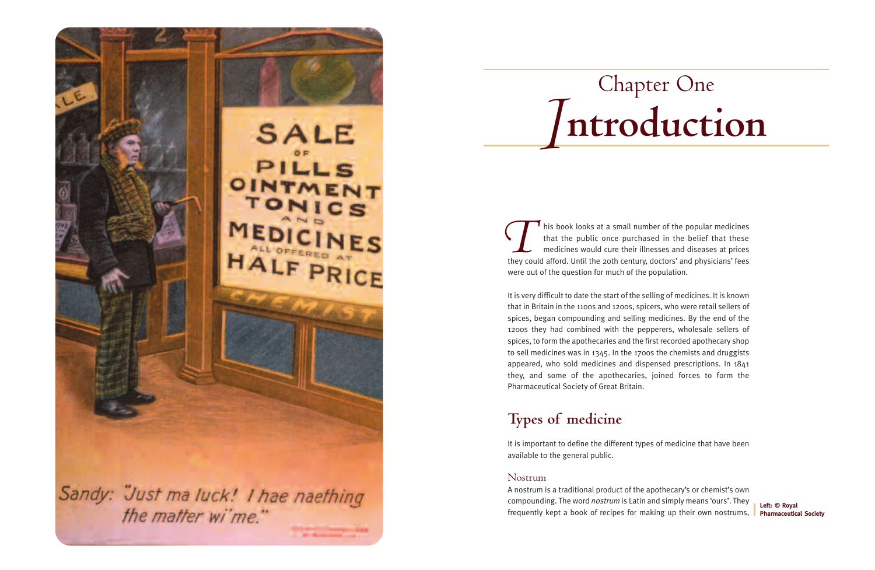

# Chapter One I**ntroduction**

This book looks at a small number of the popular medicines<br>that the public once purchased in the belief that these<br>medicines would cure their illnesses and diseases at prices<br>they could afford. Until the 20th century, doct that the public once purchased in the belief that these medicines would cure their illnesses and diseases at prices they could afford. Until the 20th century, doctors' and physicians' fees were out of the question for much of the population.

It is very difficult to date the start of the selling of medicines. It is known that in Britain in the 1100s and 1200s, spicers, who were retail sellers of spices, began compounding and selling medicines. By the end of the 1200s they had combined with the pepperers, wholesale sellers of spices, to form the apothecaries and the first recorded apothecary shop to sell medicines was in 1345. In the 1700s the chemists and druggists appeared, who sold medicines and dispensed prescriptions. In 1841 they, and some of the apothecaries, joined forces to form the Pharmaceutical Society of Great Britain.

# **Types of medicine**

It is important to define the different types of medicine that have been available to the general public.

#### Nostrum

A nostrum is a traditional product of the apothecary's or chemist's own compounding. The word *nostrum* is Latin and simply means 'ours'. They frequently kept a book of recipes for making up their own nostrums, **Left: © Royal**

**Pharmaceutical Society**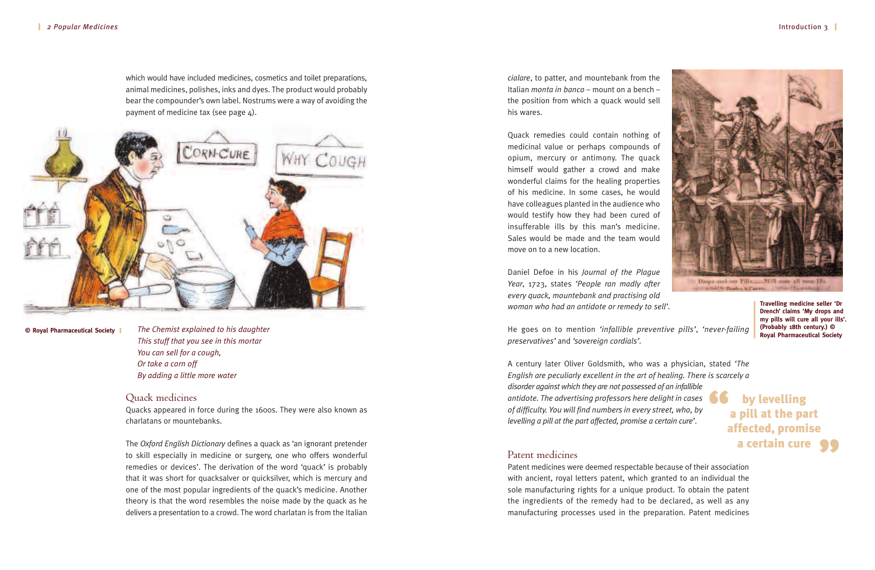which would have included medicines, cosmetics and toilet preparations, animal medicines, polishes, inks and dyes. The product would probably bear the compounder's own label. Nostrums were a way of avoiding the payment of medicine tax (see page 4).



*The Chemist explained to his daughter This stuff that you see in this mortar You can sell for a cough, Or take a corn off By adding a little more water*

#### Quack medicines

Quacks appeared in force during the 1600s. They were also known as charlatans or mountebanks.

The *Oxford English Dictionary* defines a quack as 'an ignorant pretender to skill especially in medicine or surgery, one who offers wonderful remedies or devices'. The derivation of the word 'quack' is probably that it was short for quacksalver or quicksilver, which is mercury and one of the most popular ingredients of the quack's medicine. Another theory is that the word resembles the noise made by the quack as he delivers a presentation to a crowd. The word charlatan is from the Italian

*cialare*, to patter, and mountebank from the Italian *monta in banco* – mount on a bench – the position from which a quack would sell his wares.

Quack remedies could contain nothing of medicinal value or perhaps compounds of opium, mercury or antimony. The quack himself would gather a crowd and make wonderful claims for the healing properties of his medicine. In some cases, he would have colleagues planted in the audience who would testify how they had been cured of insufferable ills by this man's medicine. Sales would be made and the team would move on to a new location.

Daniel Defoe in his *Journal of the Plague Year*, 1723, states *'People ran madly after every quack, mountebank and practising old woman who had an antidote or remedy to sell'*.



U.S. Books & Carvey

He goes on to mention *'infallible preventive pills'*, *'never-failing* **Royal Pharmaceutical Society © Royal Pharmaceutical Society** *preservatives'* and *'sovereign cordials'*.

> A century later Oliver Goldsmith, who was a physician, stated *'The English are peculiarly excellent in the art of healing. There is scarcely a disorder against which they are not possessed of an infallible antidote. The advertising professors here delight in cases of difficulty. You will find numbers in every street, who, by levelling a pill at the part affected, promise a certain cure'*. **"**

#### Patent medicines

Patent medicines were deemed respectable because of their association with ancient, royal letters patent, which granted to an individual the sole manufacturing rights for a unique product. To obtain the patent the ingredients of the remedy had to be declared, as well as any manufacturing processes used in the preparation. Patent medicines

**Travelling medicine seller 'Dr Drench' claims 'My drops and my pills will cure all your ills'. (Probably 18th century.) ©**

**by levelling a pill at the part affected, promise a certain cure "**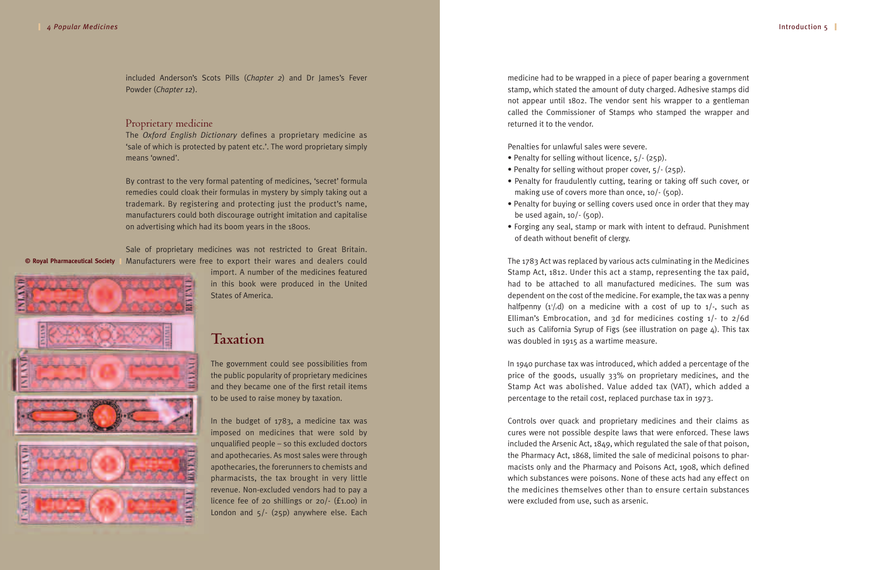included Anderson's Scots Pills (*Chapter 2*) and Dr James's Fever Powder (*Chapter 12*).

#### Proprietary medicine

The *Oxford English Dictionary* defines a proprietary medicine as 'sale of which is protected by patent etc.'. The word proprietary simply means 'owned'.

By contrast to the very formal patenting of medicines, 'secret' formula remedies could cloak their formulas in mystery by simply taking out a trademark. By registering and protecting just the product's name, manufacturers could both discourage outright imitation and capitalise on advertising which had its boom years in the 1800s.

Sale of proprietary medicines was not restricted to Great Britain. Manufacturers were free to export their wares and dealers could **© Royal Pharmaceutical Society**



import. A number of the medicines featured in this book were produced in the United States of America.

# **Taxation**

The government could see possibilities from the public popularity of proprietary medicines and they became one of the first retail items to be used to raise money by taxation.

In the budget of 1783, a medicine tax was imposed on medicines that were sold by unqualified people – so this excluded doctors and apothecaries. As most sales were through apothecaries, the forerunners to chemists and pharmacists, the tax brought in very little revenue. Non-excluded vendors had to pay a licence fee of 20 shillings or 20/- (£1.00) in London and 5/- (25p) anywhere else. Each

medicine had to be wrapped in a piece of paper bearing a government stamp, which stated the amount of duty charged. Adhesive stamps did not appear until 1802. The vendor sent his wrapper to a gentleman called the Commissioner of Stamps who stamped the wrapper and returned it to the vendor.

Penalties for unlawful sales were severe.

- Penalty for selling without licence,  $5/-(25p)$ .
- Penalty for selling without proper cover, 5/- (25p).
- Penalty for fraudulently cutting, tearing or taking off such cover, or making use of covers more than once, 10/- (50p).
- Penalty for buying or selling covers used once in order that they may be used again, 10/- (50p).
- Forging any seal, stamp or mark with intent to defraud. Punishment of death without benefit of clergy.

The 1783 Act was replaced by various acts culminating in the Medicines Stamp Act, 1812. Under this act a stamp, representing the tax paid, had to be attached to all manufactured medicines. The sum was dependent on the cost of the medicine. For example, the tax was a penny halfpenny  $(1^{1}/2d)$  on a medicine with a cost of up to  $1/-$ , such as Elliman's Embrocation, and 3d for medicines costing 1/- to 2/6d such as California Syrup of Figs (see illustration on page 4). This tax was doubled in 1915 as a wartime measure.

In 1940 purchase tax was introduced, which added a percentage of the price of the goods, usually 33% on proprietary medicines, and the Stamp Act was abolished. Value added tax (VAT), which added a percentage to the retail cost, replaced purchase tax in 1973.

Controls over quack and proprietary medicines and their claims as cures were not possible despite laws that were enforced. These laws included the Arsenic Act, 1849, which regulated the sale of that poison, the Pharmacy Act, 1868, limited the sale of medicinal poisons to pharmacists only and the Pharmacy and Poisons Act, 1908, which defined which substances were poisons. None of these acts had any effect on the medicines themselves other than to ensure certain substances were excluded from use, such as arsenic.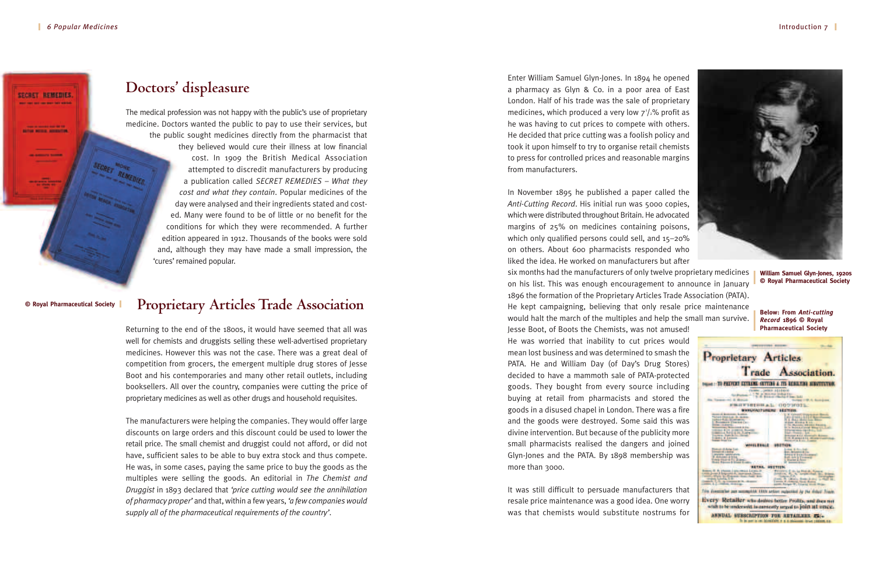SECRET REMEDIES.

**ATTACHED ANNUALIS** 

**Doctors' displeasure**

The medical profession was not happy with the public's use of proprietary medicine. Doctors wanted the public to pay to use their services, but the public sought medicines directly from the pharmacist that they believed would cure their illness at low financial cost. In 1909 the British Medical Association attempted to discredit manufacturers by producing a publication called *SECRET REMEDIES – What they cost and what they contain*. Popular medicines of the day were analysed and their ingredients stated and costed. Many were found to be of little or no benefit for the conditions for which they were recommended. A further edition appeared in 1912. Thousands of the books were sold and, although they may have made a small impression, the 'cures' remained popular.

**© Royal Pharmaceutical Society**

## **Proprietary Articles Trade Association**

Returning to the end of the 1800s, it would have seemed that all was well for chemists and druggists selling these well-advertised proprietary medicines. However this was not the case. There was a great deal of competition from grocers, the emergent multiple drug stores of Jesse Boot and his contemporaries and many other retail outlets, including booksellers. All over the country, companies were cutting the price of proprietary medicines as well as other drugs and household requisites.

The manufacturers were helping the companies. They would offer large discounts on large orders and this discount could be used to lower the retail price. The small chemist and druggist could not afford, or did not have, sufficient sales to be able to buy extra stock and thus compete. He was, in some cases, paying the same price to buy the goods as the multiples were selling the goods. An editorial in *The Chemist and Druggist* in 1893 declared that *'price cutting would see the annihilation of pharmacy proper'* and that, within a few years, *'a few companies would supply all of the pharmaceutical requirements of the country'*.

Enter William Samuel Glyn-Jones. In 1894 he opened a pharmacy as Glyn & Co. in a poor area of East London. Half of his trade was the sale of proprietary medicines, which produced a very low  $7^{1/2}$ % profit as he was having to cut prices to compete with others. He decided that price cutting was a foolish policy and took it upon himself to try to organise retail chemists to press for controlled prices and reasonable margins from manufacturers.

In November 1895 he published a paper called the *Anti-Cutting Record*. His initial run was 5000 copies, which were distributed throughout Britain. He advocated margins of 25% on medicines containing poisons, which only qualified persons could sell, and 15–20% on others. About 600 pharmacists responded who liked the idea. He worked on manufacturers but after

six months had the manufacturers of only twelve proprietary medicines on his list. This was enough encouragement to announce in January 1896 the formation of the Proprietary Articles Trade Association (PATA). He kept campaigning, believing that only resale price maintenance would halt the march of the multiples and help the small man survive.

Jesse Boot, of Boots the Chemists, was not amused! He was worried that inability to cut prices would mean lost business and was determined to smash the PATA. He and William Day (of Day's Drug Stores) decided to have a mammoth sale of PATA-protected goods. They bought from every source including buying at retail from pharmacists and stored the goods in a disused chapel in London. There was a fire and the goods were destroyed. Some said this was divine intervention. But because of the publicity more small pharmacists realised the dangers and joined Glyn-Jones and the PATA. By 1898 membership was more than 3000.

It was still difficult to persuade manufacturers that resale price maintenance was a good idea. One worry was that chemists would substitute nostrums for



**William Samuel Glyn-Jones, 1920s © Royal Pharmaceutical Society**

**Below: From** *Anti-cutting Record* **1896 © Royal Pharmaceutical Society**

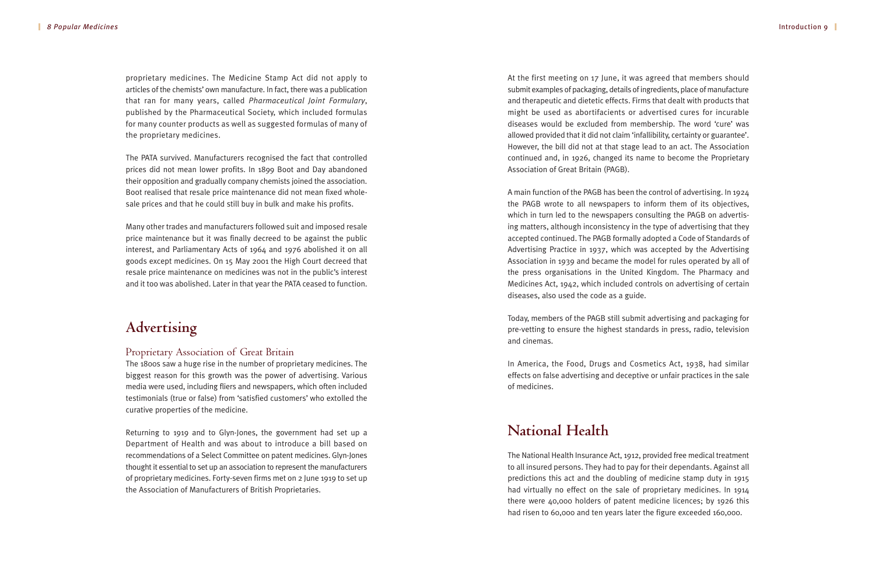proprietary medicines. The Medicine Stamp Act did not apply to articles of the chemists' own manufacture. In fact, there was a publication that ran for many years, called *Pharmaceutical Joint Formulary*, published by the Pharmaceutical Society, which included formulas for many counter products as well as suggested formulas of many of the proprietary medicines.

The PATA survived. Manufacturers recognised the fact that controlled prices did not mean lower profits. In 1899 Boot and Day abandoned their opposition and gradually company chemists joined the association. Boot realised that resale price maintenance did not mean fixed wholesale prices and that he could still buy in bulk and make his profits.

Many other trades and manufacturers followed suit and imposed resale price maintenance but it was finally decreed to be against the public interest, and Parliamentary Acts of 1964 and 1976 abolished it on all goods except medicines. On 15 May 2001 the High Court decreed that resale price maintenance on medicines was not in the public's interest and it too was abolished. Later in that year the PATA ceased to function.

# **Advertising**

#### Proprietary Association of Great Britain

The 1800s saw a huge rise in the number of proprietary medicines. The biggest reason for this growth was the power of advertising. Various media were used, including fliers and newspapers, which often included testimonials (true or false) from 'satisfied customers' who extolled the curative properties of the medicine.

Returning to 1919 and to Glyn-Jones, the government had set up a Department of Health and was about to introduce a bill based on recommendations of a Select Committee on patent medicines. Glyn-Jones thought it essential to set up an association to represent the manufacturers of proprietary medicines. Forty-seven firms met on 2 June 1919 to set up the Association of Manufacturers of British Proprietaries.

At the first meeting on 17 June, it was agreed that members should submit examples of packaging, details of ingredients, place of manufacture and therapeutic and dietetic effects. Firms that dealt with products that might be used as abortifacients or advertised cures for incurable diseases would be excluded from membership. The word 'cure' was allowed provided that it did not claim 'infallibility, certainty or guarantee'. However, the bill did not at that stage lead to an act. The Association continued and, in 1926, changed its name to become the Proprietary Association of Great Britain (PAGB).

A main function of the PAGB has been the control of advertising. In 1924 the PAGB wrote to all newspapers to inform them of its objectives, which in turn led to the newspapers consulting the PAGB on advertising matters, although inconsistency in the type of advertising that they accepted continued. The PAGB formally adopted a Code of Standards of Advertising Practice in 1937, which was accepted by the Advertising Association in 1939 and became the model for rules operated by all of the press organisations in the United Kingdom. The Pharmacy and Medicines Act, 1942, which included controls on advertising of certain diseases, also used the code as a guide.

Today, members of the PAGB still submit advertising and packaging for pre-vetting to ensure the highest standards in press, radio, television and cinemas.

In America, the Food, Drugs and Cosmetics Act, 1938, had similar effects on false advertising and deceptive or unfair practices in the sale of medicines.

### **National Health**

The National Health Insurance Act, 1912, provided free medical treatment to all insured persons. They had to pay for their dependants. Against all predictions this act and the doubling of medicine stamp duty in 1915 had virtually no effect on the sale of proprietary medicines. In 1914 there were 40,000 holders of patent medicine licences; by 1926 this had risen to 60,000 and ten years later the figure exceeded 160,000.